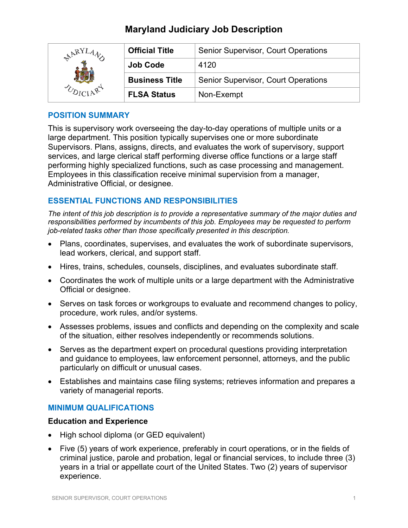| ARY | <b>Official Title</b> | <b>Senior Supervisor, Court Operations</b> |
|-----|-----------------------|--------------------------------------------|
|     | <b>Job Code</b>       | 4120                                       |
|     | <b>Business Title</b> | <b>Senior Supervisor, Court Operations</b> |
|     | <b>FLSA Status</b>    | Non-Exempt                                 |

#### **POSITION SUMMARY**

This is supervisory work overseeing the day-to-day operations of multiple units or a large department. This position typically supervises one or more subordinate Supervisors. Plans, assigns, directs, and evaluates the work of supervisory, support services, and large clerical staff performing diverse office functions or a large staff performing highly specialized functions, such as case processing and management. Employees in this classification receive minimal supervision from a manager, Administrative Official, or designee.

## **ESSENTIAL FUNCTIONS AND RESPONSIBILITIES**

*The intent of this job description is to provide a representative summary of the major duties and responsibilities performed by incumbents of this job. Employees may be requested to perform job-related tasks other than those specifically presented in this description.*

- Plans, coordinates, supervises, and evaluates the work of subordinate supervisors, lead workers, clerical, and support staff.
- Hires, trains, schedules, counsels, disciplines, and evaluates subordinate staff.
- Coordinates the work of multiple units or a large department with the Administrative Official or designee.
- Serves on task forces or workgroups to evaluate and recommend changes to policy, procedure, work rules, and/or systems.
- Assesses problems, issues and conflicts and depending on the complexity and scale of the situation, either resolves independently or recommends solutions.
- Serves as the department expert on procedural questions providing interpretation and guidance to employees, law enforcement personnel, attorneys, and the public particularly on difficult or unusual cases.
- Establishes and maintains case filing systems; retrieves information and prepares a variety of managerial reports.

#### **MINIMUM QUALIFICATIONS**

#### **Education and Experience**

- High school diploma (or GED equivalent)
- Five (5) years of work experience, preferably in court operations, or in the fields of criminal justice, parole and probation, legal or financial services, to include three (3) years in a trial or appellate court of the United States. Two (2) years of supervisor experience.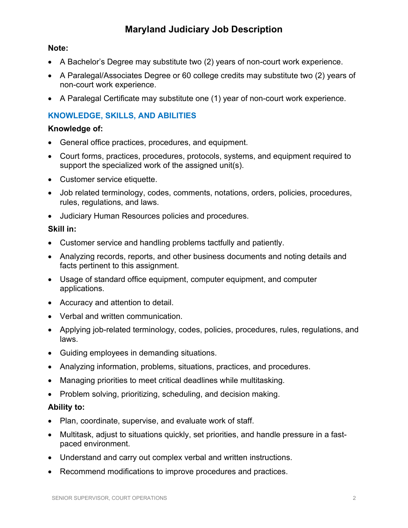#### **Note:**

- A Bachelor's Degree may substitute two (2) years of non-court work experience.
- A Paralegal/Associates Degree or 60 college credits may substitute two (2) years of non-court work experience.
- A Paralegal Certificate may substitute one (1) year of non-court work experience.

## **KNOWLEDGE, SKILLS, AND ABILITIES**

#### **Knowledge of:**

- General office practices, procedures, and equipment.
- Court forms, practices, procedures, protocols, systems, and equipment required to support the specialized work of the assigned unit(s).
- Customer service etiquette.
- Job related terminology, codes, comments, notations, orders, policies, procedures, rules, regulations, and laws.
- Judiciary Human Resources policies and procedures.

#### **Skill in:**

- Customer service and handling problems tactfully and patiently.
- Analyzing records, reports, and other business documents and noting details and facts pertinent to this assignment.
- Usage of standard office equipment, computer equipment, and computer applications.
- Accuracy and attention to detail.
- Verbal and written communication.
- Applying job-related terminology, codes, policies, procedures, rules, regulations, and laws.
- Guiding employees in demanding situations.
- Analyzing information, problems, situations, practices, and procedures.
- Managing priorities to meet critical deadlines while multitasking.
- Problem solving, prioritizing, scheduling, and decision making.

#### **Ability to:**

- Plan, coordinate, supervise, and evaluate work of staff.
- Multitask, adjust to situations quickly, set priorities, and handle pressure in a fastpaced environment.
- Understand and carry out complex verbal and written instructions.
- Recommend modifications to improve procedures and practices.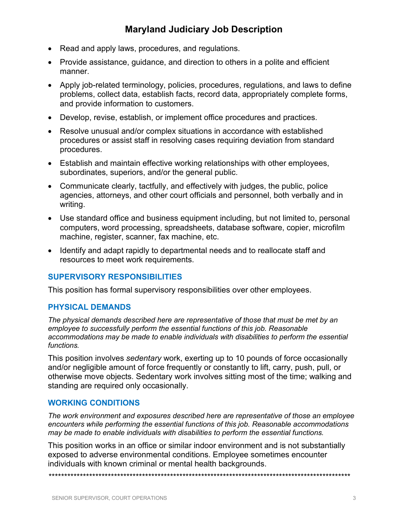- Read and apply laws, procedures, and regulations.
- Provide assistance, guidance, and direction to others in a polite and efficient manner.
- Apply job-related terminology, policies, procedures, regulations, and laws to define problems, collect data, establish facts, record data, appropriately complete forms, and provide information to customers.
- Develop, revise, establish, or implement office procedures and practices.
- Resolve unusual and/or complex situations in accordance with established procedures or assist staff in resolving cases requiring deviation from standard procedures.
- Establish and maintain effective working relationships with other employees, subordinates, superiors, and/or the general public.
- Communicate clearly, tactfully, and effectively with judges, the public, police agencies, attorneys, and other court officials and personnel, both verbally and in writing.
- Use standard office and business equipment including, but not limited to, personal computers, word processing, spreadsheets, database software, copier, microfilm machine, register, scanner, fax machine, etc.
- Identify and adapt rapidly to departmental needs and to reallocate staff and resources to meet work requirements.

#### **SUPERVISORY RESPONSIBILITIES**

This position has formal supervisory responsibilities over other employees.

#### **PHYSICAL DEMANDS**

*The physical demands described here are representative of those that must be met by an employee to successfully perform the essential functions of this job. Reasonable accommodations may be made to enable individuals with disabilities to perform the essential functions.*

This position involves *sedentary* work, exerting up to 10 pounds of force occasionally and/or negligible amount of force frequently or constantly to lift, carry, push, pull, or otherwise move objects. Sedentary work involves sitting most of the time; walking and standing are required only occasionally.

#### **WORKING CONDITIONS**

*The work environment and exposures described here are representative of those an employee encounters while performing the essential functions of this job. Reasonable accommodations may be made to enable individuals with disabilities to perform the essential functions.*

This position works in an office or similar indoor environment and is not substantially exposed to adverse environmental conditions. Employee sometimes encounter individuals with known criminal or mental health backgrounds.

*\*\*\*\*\*\*\*\*\*\*\*\*\*\*\*\*\*\*\*\*\*\*\*\*\*\*\*\*\*\*\*\*\*\*\*\*\*\*\*\*\*\*\*\*\*\*\*\*\*\*\*\*\*\*\*\*\*\*\*\*\*\*\*\*\*\*\*\*\*\*\*\*\*\*\*\*\*\*\*\*\*\*\*\*\*\*\*\*\*\*\*\*\*\*\*\*\**